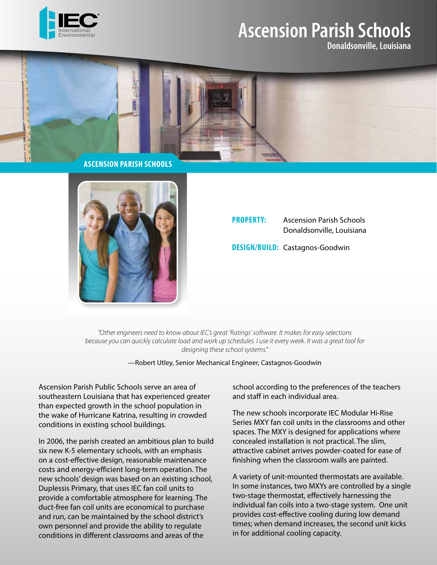

## **Ascension Parish Schools**

**Donaldsonville, Louisiana**



![](_page_0_Picture_5.jpeg)

## **PROPERTY:** Ascension Parish Schools Donaldsonville, Louisiana

**DESIGN/BUILD:** Castagnos-Goodwin

*"Other engineers need to know about IEC's great 'Ratings' software. It makes for easy selections because you can quickly calculate load and work up schedules. I use it every week. It was a great tool for designing these school systems."* 

—Robert Utley, Senior Mechanical Engineer, Castagnos-Goodwin

Ascension Parish Public Schools serve an area of southeastern Louisiana that has experienced greater than expected growth in the school population in the wake of Hurricane Katrina, resulting in crowded conditions in existing school buildings.

In 2006, the parish created an ambitious plan to build six new K-5 elementary schools, with an emphasis on a cost-effective design, reasonable maintenance costs and energy-efficient long-term operation. The new schools' design was based on an existing school, Duplessis Primary, that uses IEC fan coil units to provide a comfortable atmosphere for learning. The duct-free fan coil units are economical to purchase and run, can be maintained by the school district's own personnel and provide the ability to regulate conditions in different classrooms and areas of the

school according to the preferences of the teachers and staff in each individual area.

The new schools incorporate IEC Modular Hi-Rise Series MXY fan coil units in the classrooms and other spaces. The MXY is designed for applications where concealed installation is not practical. The slim, attractive cabinet arrives powder-coated for ease of finishing when the classroom walls are painted.

A variety of unit-mounted thermostats are available. In some instances, two MXYs are controlled by a single two-stage thermostat, effectively harnessing the individual fan coils into a two-stage system. One unit provides cost-effective cooling during low demand times; when demand increases, the second unit kicks in for additional cooling capacity.